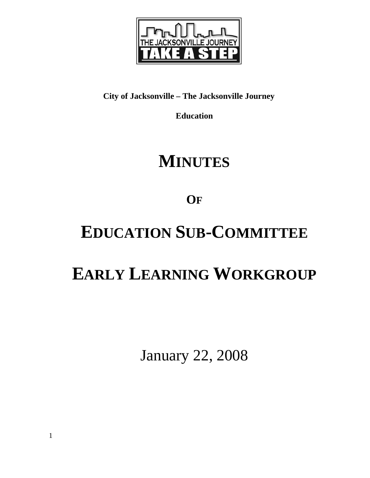

## **City of Jacksonville – The Jacksonville Journey**

**Education** 

# **MINUTES**

**OF**

# **EDUCATION SUB-COMMITTEE**

# **EARLY LEARNING WORKGROUP**

January 22, 2008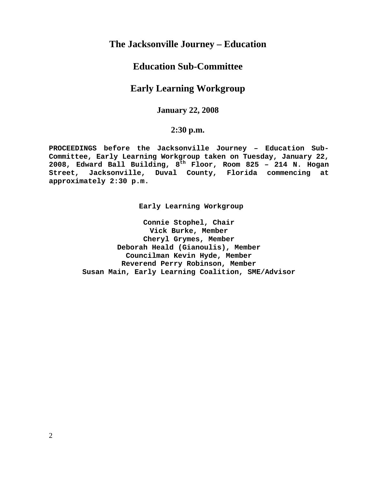## **The Jacksonville Journey – Education**

## **Education Sub-Committee**

## **Early Learning Workgroup**

### **January 22, 2008**

### **2:30 p.m.**

**PROCEEDINGS before the Jacksonville Journey – Education Sub-Committee, Early Learning Workgroup taken on Tuesday, January 22, 2008, Edward Ball Building, 8th Floor, Room 825 – 214 N. Hogan Street, Jacksonville, Duval County, Florida commencing at approximately 2:30 p.m.** 

**Early Learning Workgroup** 

**Connie Stophel, Chair Vick Burke, Member Cheryl Grymes, Member Deborah Heald (Gianoulis), Member Councilman Kevin Hyde, Member Reverend Perry Robinson, Member Susan Main, Early Learning Coalition, SME/Advisor**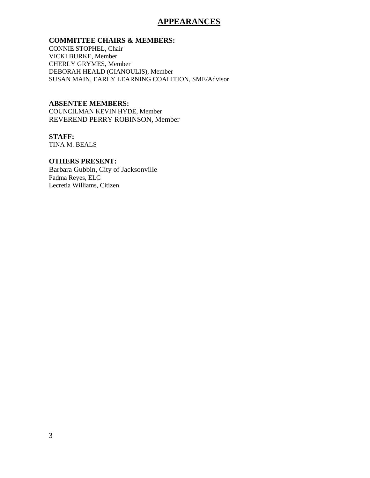## **APPEARANCES**

#### **COMMITTEE CHAIRS & MEMBERS:**

CONNIE STOPHEL, Chair VICKI BURKE, Member CHERLY GRYMES, Member DEBORAH HEALD (GIANOULIS), Member SUSAN MAIN, EARLY LEARNING COALITION, SME/Advisor

#### **ABSENTEE MEMBERS:**

COUNCILMAN KEVIN HYDE, Member REVEREND PERRY ROBINSON, Member

### **STAFF:**

TINA M. BEALS

#### **OTHERS PRESENT:**

Barbara Gubbin, City of Jacksonville Padma Reyes, ELC Lecretia Williams, Citizen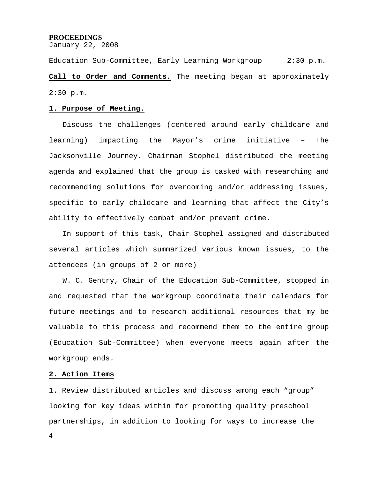#### **PROCEEDINGS**

January 22, 2008

Education Sub-Committee, Early Learning Workgroup 2:30 p.m. **Call to Order and Comments.** The meeting began at approximately 2:30 p.m.

#### **1. Purpose of Meeting.**

 Discuss the challenges (centered around early childcare and learning) impacting the Mayor's crime initiative – The Jacksonville Journey. Chairman Stophel distributed the meeting agenda and explained that the group is tasked with researching and recommending solutions for overcoming and/or addressing issues, specific to early childcare and learning that affect the City's ability to effectively combat and/or prevent crime.

 In support of this task, Chair Stophel assigned and distributed several articles which summarized various known issues, to the attendees (in groups of 2 or more)

 W. C. Gentry, Chair of the Education Sub-Committee, stopped in and requested that the workgroup coordinate their calendars for future meetings and to research additional resources that my be valuable to this process and recommend them to the entire group (Education Sub-Committee) when everyone meets again after the workgroup ends.

#### **2. Action Items**

1. Review distributed articles and discuss among each "group" looking for key ideas within for promoting quality preschool partnerships, in addition to looking for ways to increase the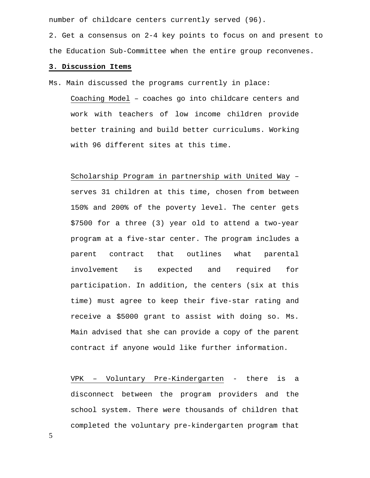number of childcare centers currently served (96).

2. Get a consensus on 2-4 key points to focus on and present to the Education Sub-Committee when the entire group reconvenes.

#### **3. Discussion Items**

Ms. Main discussed the programs currently in place:

Coaching Model – coaches go into childcare centers and work with teachers of low income children provide better training and build better curriculums. Working with 96 different sites at this time.

Scholarship Program in partnership with United Way – serves 31 children at this time, chosen from between 150% and 200% of the poverty level. The center gets \$7500 for a three (3) year old to attend a two-year program at a five-star center. The program includes a parent contract that outlines what parental involvement is expected and required for participation. In addition, the centers (six at this time) must agree to keep their five-star rating and receive a \$5000 grant to assist with doing so. Ms. Main advised that she can provide a copy of the parent contract if anyone would like further information.

VPK – Voluntary Pre-Kindergarten - there is a disconnect between the program providers and the school system. There were thousands of children that completed the voluntary pre-kindergarten program that

5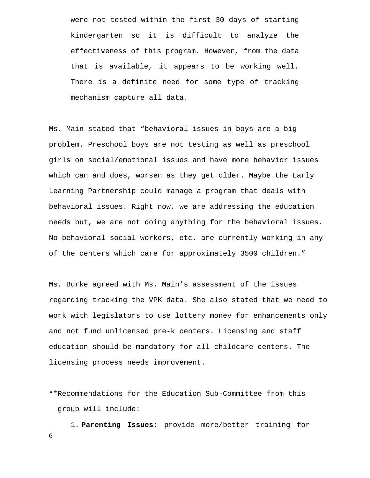were not tested within the first 30 days of starting kindergarten so it is difficult to analyze the effectiveness of this program. However, from the data that is available, it appears to be working well. There is a definite need for some type of tracking mechanism capture all data.

Ms. Main stated that "behavioral issues in boys are a big problem. Preschool boys are not testing as well as preschool girls on social/emotional issues and have more behavior issues which can and does, worsen as they get older. Maybe the Early Learning Partnership could manage a program that deals with behavioral issues. Right now, we are addressing the education needs but, we are not doing anything for the behavioral issues. No behavioral social workers, etc. are currently working in any of the centers which care for approximately 3500 children."

Ms. Burke agreed with Ms. Main's assessment of the issues regarding tracking the VPK data. She also stated that we need to work with legislators to use lottery money for enhancements only and not fund unlicensed pre-k centers. Licensing and staff education should be mandatory for all childcare centers. The licensing process needs improvement.

\*\*Recommendations for the Education Sub-Committee from this group will include:

6 1. **Parenting Issues:** provide more/better training for